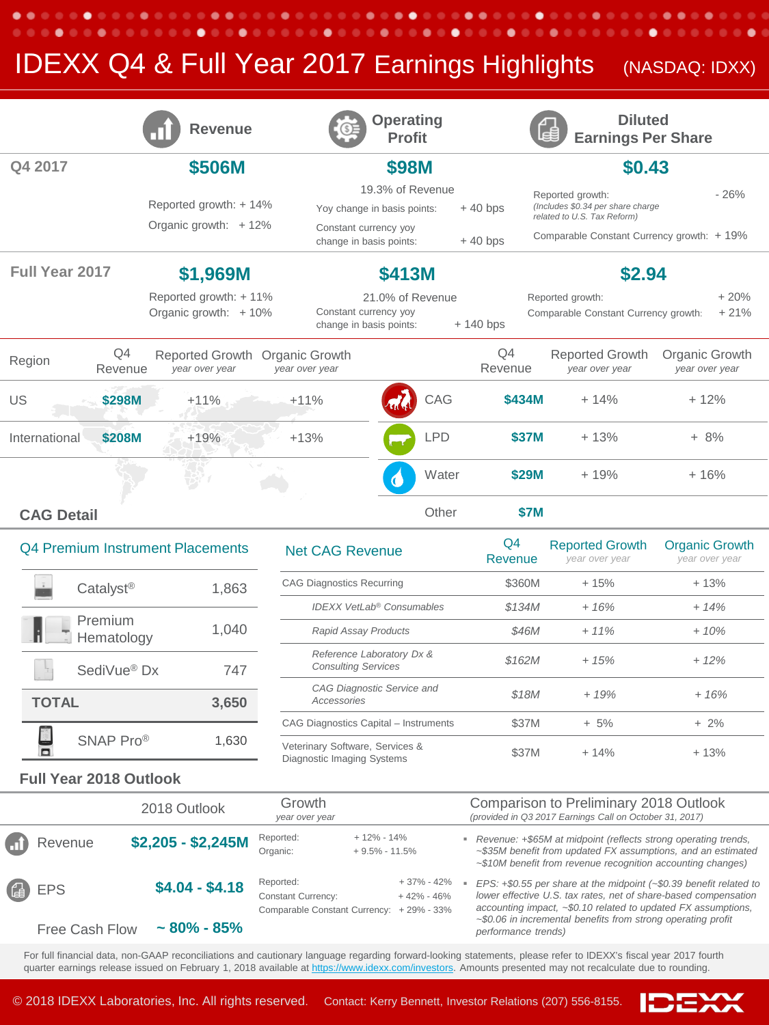## **IDEXX Q4 & Full Year 2017 Earnings Highlights** (NASDAQ: IDXX)

. . . .

 $\bullet\bullet\circ\circ$ 

٠

٠

. . .

. . . . . .

|                         | <b>Revenue</b>                                   | <b>Operating</b><br><b>Profit</b>                                        |                       | <b>Diluted</b><br><b>Earnings Per Share</b>                                          |                                  |
|-------------------------|--------------------------------------------------|--------------------------------------------------------------------------|-----------------------|--------------------------------------------------------------------------------------|----------------------------------|
| Q4 2017                 | \$506M                                           | \$98M                                                                    |                       | \$0.43                                                                               |                                  |
|                         | Reported growth: +14%<br>Organic growth: $+12\%$ | 19.3% of Revenue<br>Yoy change in basis points:<br>Constant currency yoy | $+40$ bps             | Reported growth:<br>(Includes \$0.34 per share charge<br>related to U.S. Tax Reform) | $-26%$                           |
|                         |                                                  | change in basis points:                                                  | $+40$ bps             | Comparable Constant Currency growth: +19%                                            |                                  |
| Full Year 2017          | \$1,969M                                         | \$413M                                                                   |                       | \$2.94                                                                               |                                  |
|                         | Reported growth: +11%<br>Organic growth: $+10\%$ | 21.0% of Revenue<br>Constant currency yoy<br>change in basis points:     | $+140$ bps            | Reported growth:<br>Comparable Constant Currency growth:                             | $+20%$<br>$+21%$                 |
| Q4<br>Region<br>Revenue | Reported Growth<br>year over year                | Organic Growth<br>year over year                                         | Q4<br>Revenue         | <b>Reported Growth</b><br>year over year                                             | Organic Growth<br>year over year |
| US<br>\$298M            | $+11%$                                           | CAG<br>$+11%$                                                            | \$434M                | $+14%$                                                                               | $+12%$                           |
| International<br>\$208M | $+19%$                                           | LPD<br>$+13%$                                                            | \$37M                 | $+13%$                                                                               | $+8%$                            |
|                         |                                                  |                                                                          | Water<br><b>\$29M</b> | $+19%$                                                                               | $+16%$                           |
| <b>CAG Detail</b>       |                                                  |                                                                          | Other<br><b>\$7M</b>  |                                                                                      |                                  |

| Q4 Premium Instrument Placements |       |  |  |  |
|----------------------------------|-------|--|--|--|
| Catalyst <sup>®</sup>            | 1,863 |  |  |  |
| Premium<br>Hematology            | 1,040 |  |  |  |
| SediVue <sup>®</sup> Dx          | 747   |  |  |  |
| <b>TOTAL</b>                     | 3,650 |  |  |  |
| SNAP Pro®                        | 1,630 |  |  |  |
|                                  |       |  |  |  |

| <b>Net CAG Revenue</b>                                        | O4<br>Revenue | <b>Reported Growth</b><br>year over year | <b>Organic Growth</b><br>year over year |
|---------------------------------------------------------------|---------------|------------------------------------------|-----------------------------------------|
| <b>CAG Diagnostics Recurring</b>                              | \$360M        | $+15%$                                   | $+13%$                                  |
| <b>IDEXX VetLab<sup>®</sup> Consumables</b>                   | \$134M        | $+16%$                                   | $+14%$                                  |
| <b>Rapid Assay Products</b>                                   | \$46M         | $+11\%$                                  | $+10%$                                  |
| Reference Laboratory Dx &<br><b>Consulting Services</b>       | \$162M        | $+15%$                                   | $+12%$                                  |
| CAG Diagnostic Service and<br>Accessories                     | \$18M         | $+19%$                                   | $+16%$                                  |
| CAG Diagnostics Capital - Instruments                         | \$37M         | $+5%$                                    | $+2\%$                                  |
| Veterinary Software, Services &<br>Diagnostic Imaging Systems | \$37M         | $+14%$                                   | $+13%$                                  |

## **Full Year 2018 Outlook**

. . . . . . .

|                | 2018 Outlook       | Growth<br>year over year                                                |                                     |                                           | Comparison to Preliminary 2018 Outlook<br>(provided in Q3 2017 Earnings Call on October 31, 2017)                                                                                                             |
|----------------|--------------------|-------------------------------------------------------------------------|-------------------------------------|-------------------------------------------|---------------------------------------------------------------------------------------------------------------------------------------------------------------------------------------------------------------|
| Revenue        | $$2,205 - $2,245M$ | Reported:<br>Organic:                                                   | $+12\% - 14\%$<br>$+9.5\% - 11.5\%$ |                                           | Revenue: +\$65M at midpoint (reflects strong operating trends,<br>~\$35M benefit from updated FX assumptions, and an estimated<br>$\sim$ \$10M benefit from revenue recognition accounting changes)           |
| <sup>4</sup> B | $$4.04 - $4.18$    | Reported:<br><b>Constant Currency:</b><br>Comparable Constant Currency: |                                     | + 37% - 42%<br>$+42% -46%$<br>+ 29% - 33% | EPS: $+$ \$0.55 per share at the midpoint ( $-$ \$0.39 benefit related to<br>lower effective U.S. tax rates, net of share-based compensation<br>accounting impact, ~\$0.10 related to updated FX assumptions, |
| Free Cash Flow | $\sim$ 80% - 85%   |                                                                         |                                     |                                           | $\sim$ \$0.06 in incremental benefits from strong operating profit<br>performance trends)                                                                                                                     |

For full financial data, non-GAAP reconciliations and cautionary language regarding forward-looking statements, please refer to IDEXX's fiscal year 2017 fourth quarter earnings release issued on February 1, 2018 available at <u>https://www.idexx.com/investors</u>. Amounts presented may not recalculate due to rounding.



. . . .